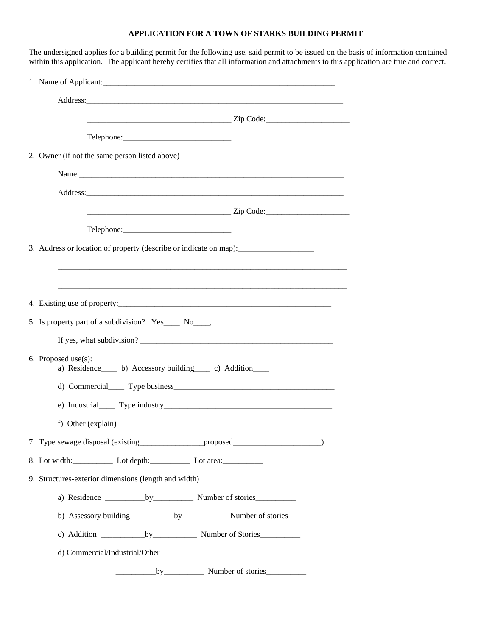## **APPLICATION FOR A TOWN OF STARKS BUILDING PERMIT**

| Telephone:<br>2. Owner (if not the same person listed above)<br>Name: 2008. 2008. 2010. 2010. 2010. 2010. 2010. 2010. 2010. 2010. 2010. 2010. 2010. 2010. 2010. 2010. 2010. 20<br>3. Address or location of property (describe or indicate on map): _______________<br>5. Is property part of a subdivision? Yes_____ No_____,<br>6. Proposed use(s):<br>a) Residence b) Accessory building c) Addition<br>8. Lot width: Lot depth: Lot area: Lot area:<br>9. Structures-exterior dimensions (length and width)<br>d) Commercial/Industrial/Other |  |
|---------------------------------------------------------------------------------------------------------------------------------------------------------------------------------------------------------------------------------------------------------------------------------------------------------------------------------------------------------------------------------------------------------------------------------------------------------------------------------------------------------------------------------------------------|--|
|                                                                                                                                                                                                                                                                                                                                                                                                                                                                                                                                                   |  |
|                                                                                                                                                                                                                                                                                                                                                                                                                                                                                                                                                   |  |
|                                                                                                                                                                                                                                                                                                                                                                                                                                                                                                                                                   |  |
|                                                                                                                                                                                                                                                                                                                                                                                                                                                                                                                                                   |  |
|                                                                                                                                                                                                                                                                                                                                                                                                                                                                                                                                                   |  |
|                                                                                                                                                                                                                                                                                                                                                                                                                                                                                                                                                   |  |
|                                                                                                                                                                                                                                                                                                                                                                                                                                                                                                                                                   |  |
|                                                                                                                                                                                                                                                                                                                                                                                                                                                                                                                                                   |  |
|                                                                                                                                                                                                                                                                                                                                                                                                                                                                                                                                                   |  |
|                                                                                                                                                                                                                                                                                                                                                                                                                                                                                                                                                   |  |
|                                                                                                                                                                                                                                                                                                                                                                                                                                                                                                                                                   |  |
|                                                                                                                                                                                                                                                                                                                                                                                                                                                                                                                                                   |  |
|                                                                                                                                                                                                                                                                                                                                                                                                                                                                                                                                                   |  |
|                                                                                                                                                                                                                                                                                                                                                                                                                                                                                                                                                   |  |
|                                                                                                                                                                                                                                                                                                                                                                                                                                                                                                                                                   |  |
|                                                                                                                                                                                                                                                                                                                                                                                                                                                                                                                                                   |  |
|                                                                                                                                                                                                                                                                                                                                                                                                                                                                                                                                                   |  |
|                                                                                                                                                                                                                                                                                                                                                                                                                                                                                                                                                   |  |
|                                                                                                                                                                                                                                                                                                                                                                                                                                                                                                                                                   |  |
|                                                                                                                                                                                                                                                                                                                                                                                                                                                                                                                                                   |  |
|                                                                                                                                                                                                                                                                                                                                                                                                                                                                                                                                                   |  |
|                                                                                                                                                                                                                                                                                                                                                                                                                                                                                                                                                   |  |
|                                                                                                                                                                                                                                                                                                                                                                                                                                                                                                                                                   |  |
|                                                                                                                                                                                                                                                                                                                                                                                                                                                                                                                                                   |  |
|                                                                                                                                                                                                                                                                                                                                                                                                                                                                                                                                                   |  |
|                                                                                                                                                                                                                                                                                                                                                                                                                                                                                                                                                   |  |
| by Number of stories                                                                                                                                                                                                                                                                                                                                                                                                                                                                                                                              |  |

The undersigned applies for a building permit for the following use, said permit to be issued on the basis of information contained on are true and correct.